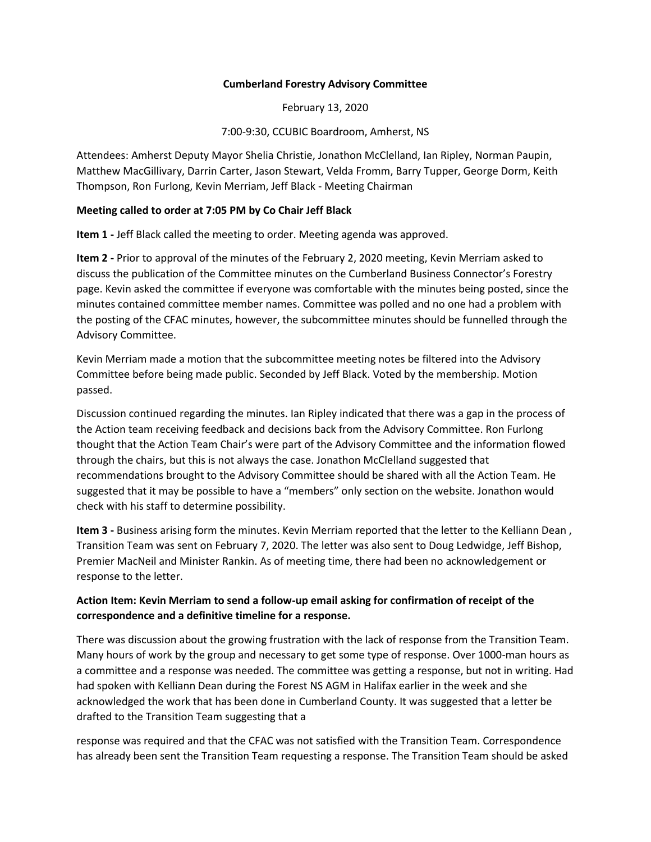#### **Cumberland Forestry Advisory Committee**

February 13, 2020

7:00-9:30, CCUBIC Boardroom, Amherst, NS

Attendees: Amherst Deputy Mayor Shelia Christie, Jonathon McClelland, Ian Ripley, Norman Paupin, Matthew MacGillivary, Darrin Carter, Jason Stewart, Velda Fromm, Barry Tupper, George Dorm, Keith Thompson, Ron Furlong, Kevin Merriam, Jeff Black - Meeting Chairman

## **Meeting called to order at 7:05 PM by Co Chair Jeff Black**

**Item 1 -** Jeff Black called the meeting to order. Meeting agenda was approved.

**Item 2 -** Prior to approval of the minutes of the February 2, 2020 meeting, Kevin Merriam asked to discuss the publication of the Committee minutes on the Cumberland Business Connector's Forestry page. Kevin asked the committee if everyone was comfortable with the minutes being posted, since the minutes contained committee member names. Committee was polled and no one had a problem with the posting of the CFAC minutes, however, the subcommittee minutes should be funnelled through the Advisory Committee.

Kevin Merriam made a motion that the subcommittee meeting notes be filtered into the Advisory Committee before being made public. Seconded by Jeff Black. Voted by the membership. Motion passed.

Discussion continued regarding the minutes. Ian Ripley indicated that there was a gap in the process of the Action team receiving feedback and decisions back from the Advisory Committee. Ron Furlong thought that the Action Team Chair's were part of the Advisory Committee and the information flowed through the chairs, but this is not always the case. Jonathon McClelland suggested that recommendations brought to the Advisory Committee should be shared with all the Action Team. He suggested that it may be possible to have a "members" only section on the website. Jonathon would check with his staff to determine possibility.

**Item 3 -** Business arising form the minutes. Kevin Merriam reported that the letter to the Kelliann Dean , Transition Team was sent on February 7, 2020. The letter was also sent to Doug Ledwidge, Jeff Bishop, Premier MacNeil and Minister Rankin. As of meeting time, there had been no acknowledgement or response to the letter.

# **Action Item: Kevin Merriam to send a follow-up email asking for confirmation of receipt of the correspondence and a definitive timeline for a response.**

There was discussion about the growing frustration with the lack of response from the Transition Team. Many hours of work by the group and necessary to get some type of response. Over 1000-man hours as a committee and a response was needed. The committee was getting a response, but not in writing. Had had spoken with Kelliann Dean during the Forest NS AGM in Halifax earlier in the week and she acknowledged the work that has been done in Cumberland County. It was suggested that a letter be drafted to the Transition Team suggesting that a

response was required and that the CFAC was not satisfied with the Transition Team. Correspondence has already been sent the Transition Team requesting a response. The Transition Team should be asked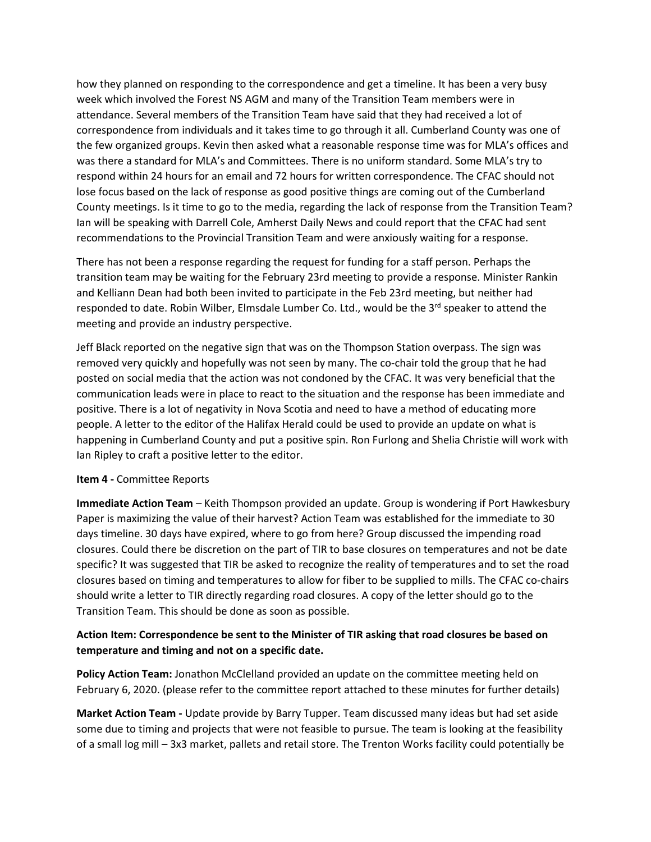how they planned on responding to the correspondence and get a timeline. It has been a very busy week which involved the Forest NS AGM and many of the Transition Team members were in attendance. Several members of the Transition Team have said that they had received a lot of correspondence from individuals and it takes time to go through it all. Cumberland County was one of the few organized groups. Kevin then asked what a reasonable response time was for MLA's offices and was there a standard for MLA's and Committees. There is no uniform standard. Some MLA's try to respond within 24 hours for an email and 72 hours for written correspondence. The CFAC should not lose focus based on the lack of response as good positive things are coming out of the Cumberland County meetings. Is it time to go to the media, regarding the lack of response from the Transition Team? Ian will be speaking with Darrell Cole, Amherst Daily News and could report that the CFAC had sent recommendations to the Provincial Transition Team and were anxiously waiting for a response.

There has not been a response regarding the request for funding for a staff person. Perhaps the transition team may be waiting for the February 23rd meeting to provide a response. Minister Rankin and Kelliann Dean had both been invited to participate in the Feb 23rd meeting, but neither had responded to date. Robin Wilber, Elmsdale Lumber Co. Ltd., would be the 3<sup>rd</sup> speaker to attend the meeting and provide an industry perspective.

Jeff Black reported on the negative sign that was on the Thompson Station overpass. The sign was removed very quickly and hopefully was not seen by many. The co-chair told the group that he had posted on social media that the action was not condoned by the CFAC. It was very beneficial that the communication leads were in place to react to the situation and the response has been immediate and positive. There is a lot of negativity in Nova Scotia and need to have a method of educating more people. A letter to the editor of the Halifax Herald could be used to provide an update on what is happening in Cumberland County and put a positive spin. Ron Furlong and Shelia Christie will work with Ian Ripley to craft a positive letter to the editor.

## **Item 4 -** Committee Reports

**Immediate Action Team** – Keith Thompson provided an update. Group is wondering if Port Hawkesbury Paper is maximizing the value of their harvest? Action Team was established for the immediate to 30 days timeline. 30 days have expired, where to go from here? Group discussed the impending road closures. Could there be discretion on the part of TIR to base closures on temperatures and not be date specific? It was suggested that TIR be asked to recognize the reality of temperatures and to set the road closures based on timing and temperatures to allow for fiber to be supplied to mills. The CFAC co-chairs should write a letter to TIR directly regarding road closures. A copy of the letter should go to the Transition Team. This should be done as soon as possible.

# **Action Item: Correspondence be sent to the Minister of TIR asking that road closures be based on temperature and timing and not on a specific date.**

**Policy Action Team:** Jonathon McClelland provided an update on the committee meeting held on February 6, 2020. (please refer to the committee report attached to these minutes for further details)

**Market Action Team -** Update provide by Barry Tupper. Team discussed many ideas but had set aside some due to timing and projects that were not feasible to pursue. The team is looking at the feasibility of a small log mill – 3x3 market, pallets and retail store. The Trenton Works facility could potentially be